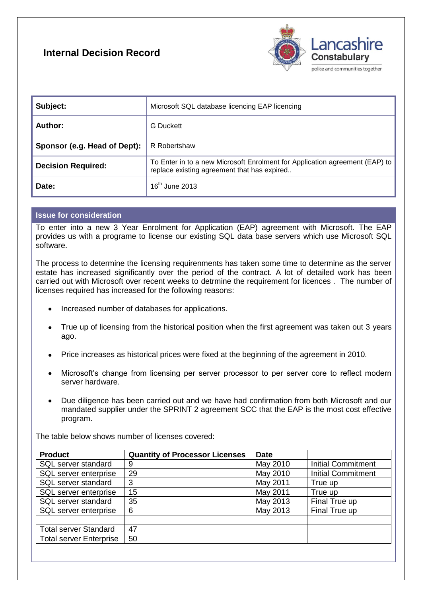# **Internal Decision Record**



| Subject:                     | Microsoft SQL database licencing EAP licencing                                                                             |
|------------------------------|----------------------------------------------------------------------------------------------------------------------------|
| Author:                      | <b>G</b> Duckett                                                                                                           |
| Sponsor (e.g. Head of Dept): | R Robertshaw                                                                                                               |
| <b>Decision Required:</b>    | To Enter in to a new Microsoft Enrolment for Application agreement (EAP) to<br>replace existing agreement that has expired |
| Date:                        | $16th$ June 2013                                                                                                           |

# **Issue for consideration**

To enter into a new 3 Year Enrolment for Application (EAP) agreement with Microsoft. The EAP provides us with a programe to license our existing SQL data base servers which use Microsoft SQL software.

The process to determine the licensing requirenments has taken some time to determine as the server estate has increased significantly over the period of the contract. A lot of detailed work has been carried out with Microsoft over recent weeks to detrmine the requirement for licences . The number of licenses required has increased for the following reasons:

- Increased number of databases for applications.  $\bullet$
- True up of licensing from the historical position when the first agreement was taken out 3 years ago.
- Price increases as historical prices were fixed at the beginning of the agreement in 2010.
- Microsoft's change from licensing per server processor to per server core to reflect modern server hardware.
- Due diligence has been carried out and we have had confirmation from both Microsoft and our mandated supplier under the SPRINT 2 agreement SCC that the EAP is the most cost effective program.

The table below shows number of licenses covered:

| <b>Product</b>                 | <b>Quantity of Processor Licenses</b> | <b>Date</b> |                           |
|--------------------------------|---------------------------------------|-------------|---------------------------|
| SQL server standard            | 9                                     | May 2010    | <b>Initial Commitment</b> |
| SQL server enterprise          | 29                                    | May 2010    | <b>Initial Commitment</b> |
| SQL server standard            | 3                                     | May 2011    | True up                   |
| SQL server enterprise          | 15                                    | May 2011    | True up                   |
| SQL server standard            | 35                                    | May 2013    | Final True up             |
| SQL server enterprise          | 6                                     | May 2013    | Final True up             |
|                                |                                       |             |                           |
| <b>Total server Standard</b>   | 47                                    |             |                           |
| <b>Total server Enterprise</b> | 50                                    |             |                           |
|                                |                                       |             |                           |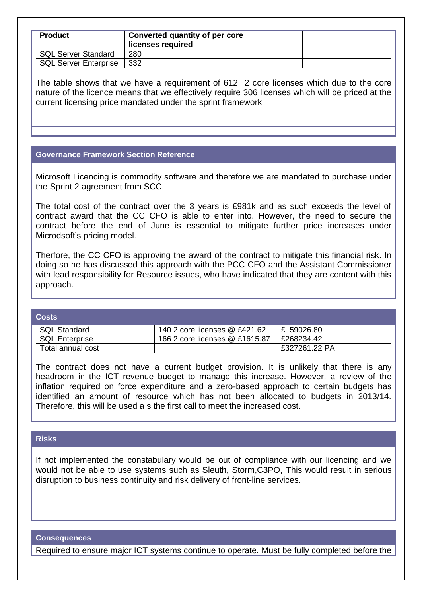| <b>Product</b>               | Converted quantity of per core<br>licenses required |  |
|------------------------------|-----------------------------------------------------|--|
| <b>SQL Server Standard</b>   | 280                                                 |  |
| <b>SQL Server Enterprise</b> | 332                                                 |  |

The table shows that we have a requirement of 612 2 core licenses which due to the core nature of the licence means that we effectively require 306 licenses which will be priced at the current licensing price mandated under the sprint framework

# **Governance Framework Section Reference**

Microsoft Licencing is commodity software and therefore we are mandated to purchase under the Sprint 2 agreement from SCC.

The total cost of the contract over the 3 years is £981k and as such exceeds the level of contract award that the CC CFO is able to enter into. However, the need to secure the contract before the end of June is essential to mitigate further price increases under Microdsoft's pricing model.

Therfore, the CC CFO is approving the award of the contract to mitigate this financial risk. In doing so he has discussed this approach with the PCC CFO and the Assistant Commissioner with lead responsibility for Resource issues, who have indicated that they are content with this approach.

| <b>Costs</b>          |                                |               |
|-----------------------|--------------------------------|---------------|
| <b>SQL Standard</b>   | 140 2 core licenses @ £421.62  | £ 59026.80    |
| <b>SQL Enterprise</b> | 166 2 core licenses @ £1615.87 | £268234.42    |
| Total annual cost     |                                | £327261.22 PA |

The contract does not have a current budget provision. It is unlikely that there is any headroom in the ICT revenue budget to manage this increase. However, a review of the inflation required on force expenditure and a zero-based approach to certain budgets has identified an amount of resource which has not been allocated to budgets in 2013/14. Therefore, this will be used a s the first call to meet the increased cost.

# **Risks**

If not implemented the constabulary would be out of compliance with our licencing and we would not be able to use systems such as Sleuth, Storm,C3PO, This would result in serious disruption to business continuity and risk delivery of front-line services.

#### **Consequences**

Required to ensure major ICT systems continue to operate. Must be fully completed before the